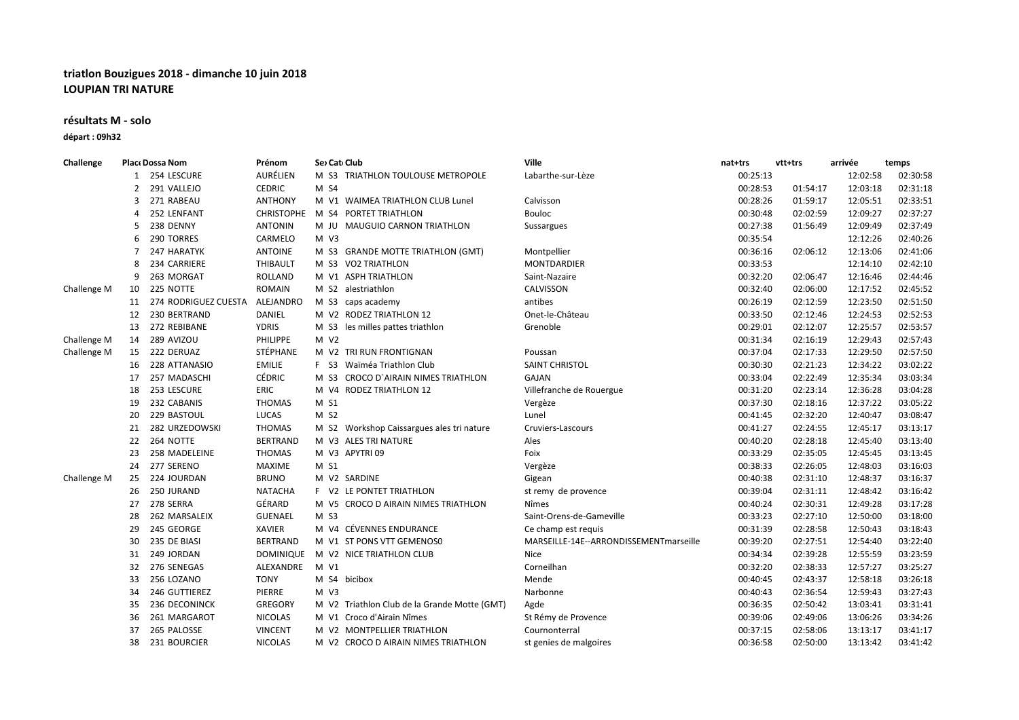## **triatlon Bouzigues 2018 - dimanche 10 juin 2018 LOUPIAN TRI NATURE**

## **résultats M - solo**

**départ : 09h32**

| Challenge   |    | Place Dossa Nom      | Prénom            | Sex Cati Club                                | Ville                                  | nat+trs  | vtt+trs  | arrivée  | temps    |
|-------------|----|----------------------|-------------------|----------------------------------------------|----------------------------------------|----------|----------|----------|----------|
|             |    | 254 LESCURE          | AURÉLIEN          | M S3 TRIATHLON TOULOUSE METROPOLE            | Labarthe-sur-Lèze                      | 00:25:13 |          | 12:02:58 | 02:30:58 |
|             | 2  | 291 VALLEJO          | <b>CEDRIC</b>     | M S4                                         |                                        | 00:28:53 | 01:54:17 | 12:03:18 | 02:31:18 |
|             | 3  | 271 RABEAU           | <b>ANTHONY</b>    | M V1 WAIMEA TRIATHLON CLUB Lunel             | Calvisson                              | 00:28:26 | 01:59:17 | 12:05:51 | 02:33:51 |
|             | 4  | 252 LENFANT          | <b>CHRISTOPHE</b> | M S4 PORTET TRIATHLON                        | Bouloc                                 | 00:30:48 | 02:02:59 | 12:09:27 | 02:37:27 |
|             | 5  | 238 DENNY            | <b>ANTONIN</b>    | M JU MAUGUIO CARNON TRIATHLON                | Sussargues                             | 00:27:38 | 01:56:49 | 12:09:49 | 02:37:49 |
|             | 6  | 290 TORRES           | CARMELO           | $M$ V <sub>3</sub>                           |                                        | 00:35:54 |          | 12:12:26 | 02:40:26 |
|             | 7  | 247 HARATYK          | <b>ANTOINE</b>    | M S3 GRANDE MOTTE TRIATHLON (GMT)            | Montpellier                            | 00:36:16 | 02:06:12 | 12:13:06 | 02:41:06 |
|             | 8  | 234 CARRIERE         | THIBAULT          | M S3 VO2 TRIATHLON                           | <b>MONTDARDIER</b>                     | 00:33:53 |          | 12:14:10 | 02:42:10 |
|             | 9  | 263 MORGAT           | <b>ROLLAND</b>    | M V1 ASPH TRIATHLON                          | Saint-Nazaire                          | 00:32:20 | 02:06:47 | 12:16:46 | 02:44:46 |
| Challenge M | 10 | 225 NOTTE            | <b>ROMAIN</b>     | M S2 alestriathlon                           | CALVISSON                              | 00:32:40 | 02:06:00 | 12:17:52 | 02:45:52 |
|             | 11 | 274 RODRIGUEZ CUESTA | ALEJANDRO         | M S3 caps academy                            | antibes                                | 00:26:19 | 02:12:59 | 12:23:50 | 02:51:50 |
|             | 12 | 230 BERTRAND         | DANIEL            | M V2 RODEZ TRIATHLON 12                      | Onet-le-Château                        | 00:33:50 | 02:12:46 | 12:24:53 | 02:52:53 |
|             | 13 | 272 REBIBANE         | <b>YDRIS</b>      | M S3 les milles pattes triathlon             | Grenoble                               | 00:29:01 | 02:12:07 | 12:25:57 | 02:53:57 |
| Challenge M | 14 | 289 AVIZOU           | PHILIPPE          | M V2                                         |                                        | 00:31:34 | 02:16:19 | 12:29:43 | 02:57:43 |
| Challenge M | 15 | 222 DERUAZ           | STÉPHANE          | M V2 TRI RUN FRONTIGNAN                      | Poussan                                | 00:37:04 | 02:17:33 | 12:29:50 | 02:57:50 |
|             | 16 | 228 ATTANASIO        | <b>EMILIE</b>     | F S3 Waïméa Triathlon Club                   | <b>SAINT CHRISTOL</b>                  | 00:30:30 | 02:21:23 | 12:34:22 | 03:02:22 |
|             | 17 | 257 MADASCHI         | <b>CÉDRIC</b>     | M S3 CROCO D'AIRAIN NIMES TRIATHLON          | GAJAN                                  | 00:33:04 | 02:22:49 | 12:35:34 | 03:03:34 |
|             | 18 | 253 LESCURE          | ERIC              | M V4 RODEZ TRIATHLON 12                      | Villefranche de Rouergue               | 00:31:20 | 02:23:14 | 12:36:28 | 03:04:28 |
|             | 19 | 232 CABANIS          | <b>THOMAS</b>     | M S1                                         | Vergèze                                | 00:37:30 | 02:18:16 | 12:37:22 | 03:05:22 |
|             | 20 | 229 BASTOUL          | LUCAS             | M S2                                         | Lunel                                  | 00:41:45 | 02:32:20 | 12:40:47 | 03:08:47 |
|             | 21 | 282 URZEDOWSKI       | <b>THOMAS</b>     | M S2 Workshop Caissargues ales tri nature    | Cruviers-Lascours                      | 00:41:27 | 02:24:55 | 12:45:17 | 03:13:17 |
|             | 22 | 264 NOTTE            | <b>BERTRAND</b>   | M V3 ALES TRI NATURE                         | Ales                                   | 00:40:20 | 02:28:18 | 12:45:40 | 03:13:40 |
|             | 23 | 258 MADELEINE        | <b>THOMAS</b>     | M V3 APYTRI 09                               | Foix                                   | 00:33:29 | 02:35:05 | 12:45:45 | 03:13:45 |
|             | 24 | 277 SERENO           | <b>MAXIME</b>     | M S1                                         | Vergèze                                | 00:38:33 | 02:26:05 | 12:48:03 | 03:16:03 |
| Challenge M | 25 | 224 JOURDAN          | <b>BRUNO</b>      | M V2 SARDINE                                 | Gigean                                 | 00:40:38 | 02:31:10 | 12:48:37 | 03:16:37 |
|             | 26 | 250 JURAND           | <b>NATACHA</b>    | F V2 LE PONTET TRIATHLON                     | st remy de provence                    | 00:39:04 | 02:31:11 | 12:48:42 | 03:16:42 |
|             | 27 | 278 SERRA            | GÉRARD            | M V5 CROCO D AIRAIN NIMES TRIATHLON          | Nîmes                                  | 00:40:24 | 02:30:31 | 12:49:28 | 03:17:28 |
|             | 28 | 262 MARSALEIX        | <b>GUENAEL</b>    | M S3                                         | Saint-Orens-de-Gameville               | 00:33:23 | 02:27:10 | 12:50:00 | 03:18:00 |
|             | 29 | 245 GEORGE           | <b>XAVIER</b>     | M V4 CÉVENNES ENDURANCE                      | Ce champ est requis                    | 00:31:39 | 02:28:58 | 12:50:43 | 03:18:43 |
|             | 30 | 235 DE BIASI         | <b>BERTRAND</b>   | M V1 ST PONS VTT GEMENOS0                    | MARSEILLE-14E--ARRONDISSEMENTmarseille | 00:39:20 | 02:27:51 | 12:54:40 | 03:22:40 |
|             | 31 | 249 JORDAN           | <b>DOMINIQUE</b>  | M V2 NICE TRIATHLON CLUB                     | <b>Nice</b>                            | 00:34:34 | 02:39:28 | 12:55:59 | 03:23:59 |
|             | 32 | 276 SENEGAS          | ALEXANDRE         | M V1                                         | Corneilhan                             | 00:32:20 | 02:38:33 | 12:57:27 | 03:25:27 |
|             | 33 | 256 LOZANO           | <b>TONY</b>       | M S4 bicibox                                 | Mende                                  | 00:40:45 | 02:43:37 | 12:58:18 | 03:26:18 |
|             | 34 | 246 GUTTIEREZ        | PIERRE            | $M$ V3                                       | Narbonne                               | 00:40:43 | 02:36:54 | 12:59:43 | 03:27:43 |
|             | 35 | 236 DECONINCK        | <b>GREGORY</b>    | M V2 Triathlon Club de la Grande Motte (GMT) | Agde                                   | 00:36:35 | 02:50:42 | 13:03:41 | 03:31:41 |
|             | 36 | 261 MARGAROT         | <b>NICOLAS</b>    | M V1 Croco d'Airain Nîmes                    | St Rémy de Provence                    | 00:39:06 | 02:49:06 | 13:06:26 | 03:34:26 |
|             | 37 | 265 PALOSSE          | <b>VINCENT</b>    | M V2 MONTPELLIER TRIATHLON                   | Cournonterral                          | 00:37:15 | 02:58:06 | 13:13:17 | 03:41:17 |
|             | 38 | 231 BOURCIER         | <b>NICOLAS</b>    | M V2 CROCO D AIRAIN NIMES TRIATHLON          | st genies de malgoires                 | 00:36:58 | 02:50:00 | 13:13:42 | 03:41:42 |